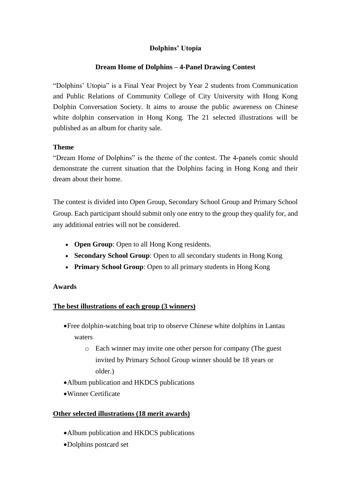## **Dolphins' Utopia**

### **Dream Home of Dolphins – 4-Panel Drawing Contest**

"Dolphins' Utopia" is a Final Year Project by Year 2 students from Communication and Public Relations of Community College of City University with Hong Kong Dolphin Conversation Society. It aims to arouse the public awareness on Chinese white dolphin conservation in Hong Kong. The 21 selected illustrations will be published as an album for charity sale.

#### **Theme**

"Dream Home of Dolphins" is the theme of the contest. The 4-panels comic should demonstrate the current situation that the Dolphins facing in Hong Kong and their dream about their home.

The contest is divided into Open Group, Secondary School Group and Primary School Group. Each participant should submit only one entry to the group they qualify for, and any additional entries will not be considered.

- **Open Group**: Open to all Hong Kong residents.
- **Secondary School Group**: Open to all secondary students in Hong Kong
- **Primary School Group**: Open to all primary students in Hong Kong

## **Awards**

## **The best illustrations of each group (3 winners)**

- Free dolphin-watching boat trip to observe Chinese white dolphins in Lantau waters
	- o Each winner may invite one other person for company (The guest invited by Primary School Group winner should be 18 years or older.)
- Album publication and HKDCS publications
- Winner Certificate

## **Other selected illustrations (18 merit awards)**

- Album publication and HKDCS publications
- Dolphins postcard set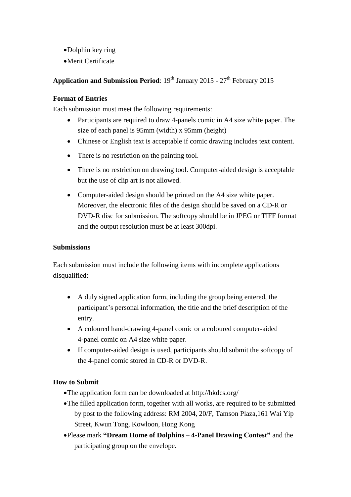- Dolphin key ring
- Merit Certificate

# **Application and Submission Period**: 19<sup>th</sup> January 2015 - 27<sup>th</sup> February 2015

#### **Format of Entries**

Each submission must meet the following requirements:

- Participants are required to draw 4-panels comic in A4 size white paper. The size of each panel is 95mm (width) x 95mm (height)
- Chinese or English text is acceptable if comic drawing includes text content.
- There is no restriction on the painting tool.
- There is no restriction on drawing tool. Computer-aided design is acceptable but the use of clip art is not allowed.
- Computer-aided design should be printed on the A4 size white paper. Moreover, the electronic files of the design should be saved on a CD-R or DVD-R disc for submission. The softcopy should be in JPEG or TIFF format and the output resolution must be at least 300dpi.

#### **Submissions**

Each submission must include the following items with incomplete applications disqualified:

- A duly signed application form, including the group being entered, the participant's personal information, the title and the brief description of the entry.
- A coloured hand-drawing 4-panel comic or a coloured computer-aided 4-panel comic on A4 size white paper.
- If computer-aided design is used, participants should submit the softcopy of the 4-panel comic stored in CD-R or DVD-R.

## **How to Submit**

- The application form can be downloaded at http://hkdcs.org/
- The filled application form, together with all works, are required to be submitted by post to the following address: RM 2004, 20/F, Tamson Plaza,161 Wai Yip Street, Kwun Tong, Kowloon, Hong Kong
- Please mark **"Dream Home of Dolphins – 4-Panel Drawing Contest"** and the participating group on the envelope.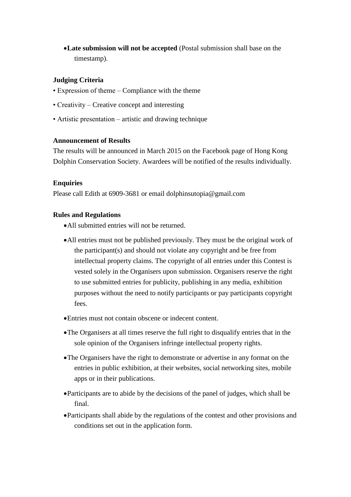**Late submission will not be accepted** (Postal submission shall base on the timestamp).

#### **Judging Criteria**

- Expression of theme Compliance with the theme
- Creativity Creative concept and interesting
- Artistic presentation artistic and drawing technique

#### **Announcement of Results**

The results will be announced in March 2015 on the Facebook page of Hong Kong Dolphin Conservation Society. Awardees will be notified of the results individually.

#### **Enquiries**

Please call Edith at 6909-3681 or email dolphinsutopia@gmail.com

#### **Rules and Regulations**

- All submitted entries will not be returned.
- All entries must not be published previously. They must be the original work of the participant(s) and should not violate any copyright and be free from intellectual property claims. The copyright of all entries under this Contest is vested solely in the Organisers upon submission. Organisers reserve the right to use submitted entries for publicity, publishing in any media, exhibition purposes without the need to notify participants or pay participants copyright fees.
- Entries must not contain obscene or indecent content.
- The Organisers at all times reserve the full right to disqualify entries that in the sole opinion of the Organisers infringe intellectual property rights.
- The Organisers have the right to demonstrate or advertise in any format on the entries in public exhibition, at their websites, social networking sites, mobile apps or in their publications.
- Participants are to abide by the decisions of the panel of judges, which shall be final.
- Participants shall abide by the regulations of the contest and other provisions and conditions set out in the application form.